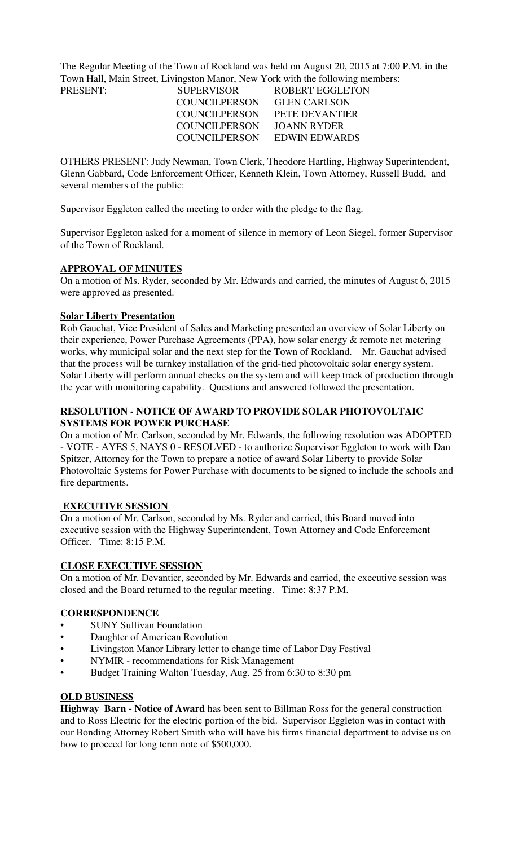The Regular Meeting of the Town of Rockland was held on August 20, 2015 at 7:00 P.M. in the Town Hall, Main Street, Livingston Manor, New York with the following members:

| <b>SUPERVISOR</b>    | ROBERT EGGLETON     |
|----------------------|---------------------|
| COUNCILPERSON        | <b>GLEN CARLSON</b> |
| COUNCILPERSON        | PETE DEVANTIER      |
| <b>COUNCILPERSON</b> | JOANN RYDER         |
| COUNCILPERSON        | EDWIN EDWARDS       |
|                      |                     |

OTHERS PRESENT: Judy Newman, Town Clerk, Theodore Hartling, Highway Superintendent, Glenn Gabbard, Code Enforcement Officer, Kenneth Klein, Town Attorney, Russell Budd, and several members of the public:

Supervisor Eggleton called the meeting to order with the pledge to the flag.

Supervisor Eggleton asked for a moment of silence in memory of Leon Siegel, former Supervisor of the Town of Rockland.

### **APPROVAL OF MINUTES**

On a motion of Ms. Ryder, seconded by Mr. Edwards and carried, the minutes of August 6, 2015 were approved as presented.

# **Solar Liberty Presentation**

Rob Gauchat, Vice President of Sales and Marketing presented an overview of Solar Liberty on their experience, Power Purchase Agreements (PPA), how solar energy & remote net metering works, why municipal solar and the next step for the Town of Rockland. Mr. Gauchat advised that the process will be turnkey installation of the grid-tied photovoltaic solar energy system. Solar Liberty will perform annual checks on the system and will keep track of production through the year with monitoring capability. Questions and answered followed the presentation.

# **RESOLUTION - NOTICE OF AWARD TO PROVIDE SOLAR PHOTOVOLTAIC SYSTEMS FOR POWER PURCHASE**

On a motion of Mr. Carlson, seconded by Mr. Edwards, the following resolution was ADOPTED - VOTE - AYES 5, NAYS 0 - RESOLVED - to authorize Supervisor Eggleton to work with Dan Spitzer, Attorney for the Town to prepare a notice of award Solar Liberty to provide Solar Photovoltaic Systems for Power Purchase with documents to be signed to include the schools and fire departments.

# **EXECUTIVE SESSION**

On a motion of Mr. Carlson, seconded by Ms. Ryder and carried, this Board moved into executive session with the Highway Superintendent, Town Attorney and Code Enforcement Officer. Time: 8:15 P.M.

#### **CLOSE EXECUTIVE SESSION**

On a motion of Mr. Devantier, seconded by Mr. Edwards and carried, the executive session was closed and the Board returned to the regular meeting. Time: 8:37 P.M.

### **CORRESPONDENCE**

- **SUNY Sullivan Foundation**
- Daughter of American Revolution
- Livingston Manor Library letter to change time of Labor Day Festival
- NYMIR recommendations for Risk Management
- Budget Training Walton Tuesday, Aug. 25 from 6:30 to 8:30 pm

# **OLD BUSINESS**

**Highway Barn - Notice of Award** has been sent to Billman Ross for the general construction and to Ross Electric for the electric portion of the bid. Supervisor Eggleton was in contact with our Bonding Attorney Robert Smith who will have his firms financial department to advise us on how to proceed for long term note of \$500,000.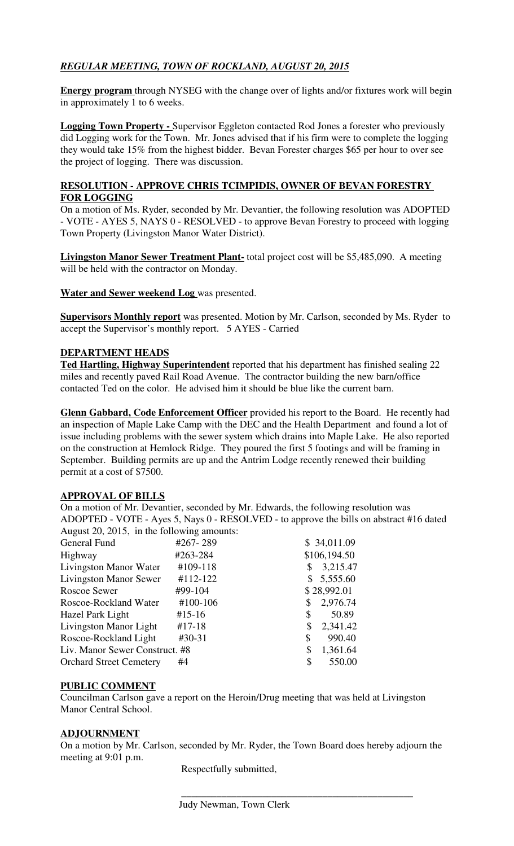# *REGULAR MEETING, TOWN OF ROCKLAND, AUGUST 20, 2015*

**Energy program** through NYSEG with the change over of lights and/or fixtures work will begin in approximately 1 to 6 weeks.

**Logging Town Property -** Supervisor Eggleton contacted Rod Jones a forester who previously did Logging work for the Town. Mr. Jones advised that if his firm were to complete the logging they would take 15% from the highest bidder. Bevan Forester charges \$65 per hour to over see the project of logging. There was discussion.

# **RESOLUTION - APPROVE CHRIS TCIMPIDIS, OWNER OF BEVAN FORESTRY FOR LOGGING**

On a motion of Ms. Ryder, seconded by Mr. Devantier, the following resolution was ADOPTED - VOTE - AYES 5, NAYS 0 - RESOLVED - to approve Bevan Forestry to proceed with logging Town Property (Livingston Manor Water District).

**Livingston Manor Sewer Treatment Plant-** total project cost will be \$5,485,090. A meeting will be held with the contractor on Monday.

**Water and Sewer weekend Log** was presented.

**Supervisors Monthly report** was presented. Motion by Mr. Carlson, seconded by Ms. Ryder to accept the Supervisor's monthly report. 5 AYES - Carried

# **DEPARTMENT HEADS**

**Ted Hartling, Highway Superintendent** reported that his department has finished sealing 22 miles and recently paved Rail Road Avenue. The contractor building the new barn/office contacted Ted on the color. He advised him it should be blue like the current barn.

**Glenn Gabbard, Code Enforcement Officer** provided his report to the Board. He recently had an inspection of Maple Lake Camp with the DEC and the Health Department and found a lot of issue including problems with the sewer system which drains into Maple Lake. He also reported on the construction at Hemlock Ridge. They poured the first 5 footings and will be framing in September. Building permits are up and the Antrim Lodge recently renewed their building permit at a cost of \$7500.

# **APPROVAL OF BILLS**

On a motion of Mr. Devantier, seconded by Mr. Edwards, the following resolution was ADOPTED - VOTE - Ayes 5, Nays 0 - RESOLVED - to approve the bills on abstract #16 dated August 20, 2015, in the following amounts:

| #267-289                       | \$34,011.09    |
|--------------------------------|----------------|
| #263-284                       | \$106,194.50   |
| #109-118                       | 3,215.47<br>S  |
| #112-122                       | 5,555.60       |
| #99-104                        | \$28,992.01    |
| #100-106                       | 2,976.74<br>\$ |
| $#15-16$                       | 50.89<br>\$    |
| $#17-18$                       | 2,341.42<br>\$ |
| $#30-31$                       | 990.40<br>\$   |
| Liv. Manor Sewer Construct. #8 | 1,361.64<br>\$ |
| #4                             | \$<br>550.00   |
|                                |                |

# **PUBLIC COMMENT**

Councilman Carlson gave a report on the Heroin/Drug meeting that was held at Livingston Manor Central School.

# **ADJOURNMENT**

On a motion by Mr. Carlson, seconded by Mr. Ryder, the Town Board does hereby adjourn the meeting at 9:01 p.m.

Respectfully submitted,